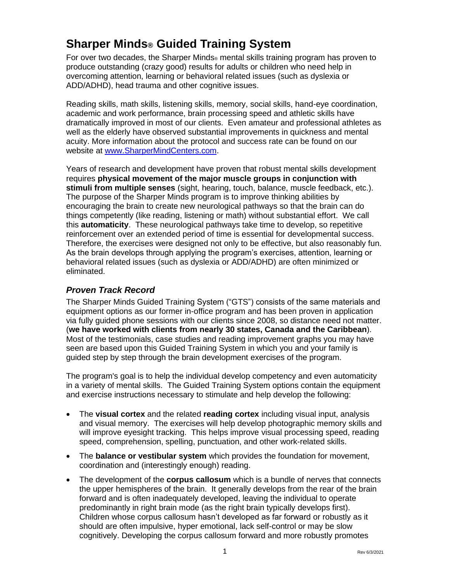# **Sharper Minds® Guided Training System**

For over two decades, the Sharper Minds<sup>®</sup> mental skills training program has proven to produce outstanding (crazy good) results for adults or children who need help in overcoming attention, learning or behavioral related issues (such as dyslexia or ADD/ADHD), head trauma and other cognitive issues.

Reading skills, math skills, listening skills, memory, social skills, hand-eye coordination, academic and work performance, brain processing speed and athletic skills have dramatically improved in most of our clients. Even amateur and professional athletes as well as the elderly have observed substantial improvements in quickness and mental acuity. More information about the protocol and success rate can be found on our website at www.SharperMindCenters.com.

Years of research and development have proven that robust mental skills development requires **physical movement of the major muscle groups in conjunction with stimuli from multiple senses** (sight, hearing, touch, balance, muscle feedback, etc.). The purpose of the Sharper Minds program is to improve thinking abilities by encouraging the brain to create new neurological pathways so that the brain can do things competently (like reading, listening or math) without substantial effort. We call this **automaticity**. These neurological pathways take time to develop, so repetitive reinforcement over an extended period of time is essential for developmental success. Therefore, the exercises were designed not only to be effective, but also reasonably fun. As the brain develops through applying the program's exercises, attention, learning or behavioral related issues (such as dyslexia or ADD/ADHD) are often minimized or eliminated.

### *Proven Track Record*

The Sharper Minds Guided Training System ("GTS") consists of the same materials and equipment options as our former in-office program and has been proven in application via fully guided phone sessions with our clients since 2008, so distance need not matter. (**we have worked with clients from nearly 30 states, Canada and the Caribbean**). Most of the testimonials, case studies and reading improvement graphs you may have seen are based upon this Guided Training System in which you and your family is guided step by step through the brain development exercises of the program.

The program's goal is to help the individual develop competency and even automaticity in a variety of mental skills. The Guided Training System options contain the equipment and exercise instructions necessary to stimulate and help develop the following:

- The **visual cortex** and the related **reading cortex** including visual input, analysis and visual memory. The exercises will help develop photographic memory skills and will improve eyesight tracking. This helps improve visual processing speed, reading speed, comprehension, spelling, punctuation, and other work-related skills.
- The **balance or vestibular system** which provides the foundation for movement, coordination and (interestingly enough) reading.
- The development of the **corpus callosum** which is a bundle of nerves that connects the upper hemispheres of the brain. It generally develops from the rear of the brain forward and is often inadequately developed, leaving the individual to operate predominantly in right brain mode (as the right brain typically develops first). Children whose corpus callosum hasn't developed as far forward or robustly as it should are often impulsive, hyper emotional, lack self-control or may be slow cognitively. Developing the corpus callosum forward and more robustly promotes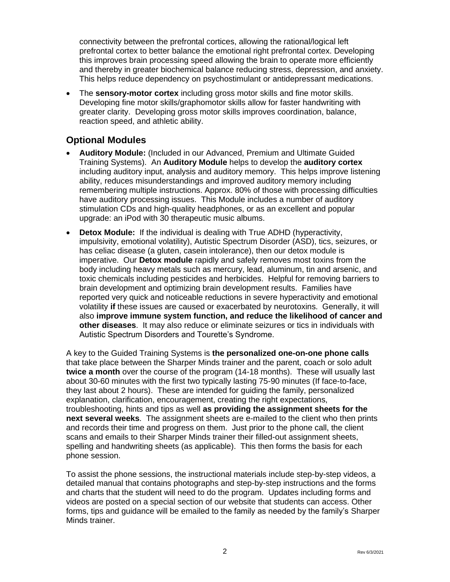connectivity between the prefrontal cortices, allowing the rational/logical left prefrontal cortex to better balance the emotional right prefrontal cortex. Developing this improves brain processing speed allowing the brain to operate more efficiently and thereby in greater biochemical balance reducing stress, depression, and anxiety. This helps reduce dependency on psychostimulant or antidepressant medications.

• The **sensory-motor cortex** including gross motor skills and fine motor skills. Developing fine motor skills/graphomotor skills allow for faster handwriting with greater clarity. Developing gross motor skills improves coordination, balance, reaction speed, and athletic ability.

### **Optional Modules**

- **Auditory Module:** (Included in our Advanced, Premium and Ultimate Guided Training Systems). An **Auditory Module** helps to develop the **auditory cortex** including auditory input, analysis and auditory memory. This helps improve listening ability, reduces misunderstandings and improved auditory memory including remembering multiple instructions. Approx. 80% of those with processing difficulties have auditory processing issues. This Module includes a number of auditory stimulation CDs and high-quality headphones, or as an excellent and popular upgrade: an iPod with 30 therapeutic music albums.
- **Detox Module:** If the individual is dealing with True ADHD (hyperactivity, impulsivity, emotional volatility), Autistic Spectrum Disorder (ASD), tics, seizures, or has celiac disease (a gluten, casein intolerance), then our detox module is imperative. Our **Detox module** rapidly and safely removes most toxins from the body including heavy metals such as mercury, lead, aluminum, tin and arsenic, and toxic chemicals including pesticides and herbicides. Helpful for removing barriers to brain development and optimizing brain development results. Families have reported very quick and noticeable reductions in severe hyperactivity and emotional volatility **if** these issues are caused or exacerbated by neurotoxins. Generally, it will also **improve immune system function, and reduce the likelihood of cancer and other diseases**. It may also reduce or eliminate seizures or tics in individuals with Autistic Spectrum Disorders and Tourette's Syndrome.

A key to the Guided Training Systems is **the personalized one-on-one phone calls** that take place between the Sharper Minds trainer and the parent, coach or solo adult **twice a month** over the course of the program (14-18 months). These will usually last about 30-60 minutes with the first two typically lasting 75-90 minutes (If face-to-face, they last about 2 hours). These are intended for guiding the family, personalized explanation, clarification, encouragement, creating the right expectations, troubleshooting, hints and tips as well **as providing the assignment sheets for the next several weeks**. The assignment sheets are e-mailed to the client who then prints and records their time and progress on them. Just prior to the phone call, the client scans and emails to their Sharper Minds trainer their filled-out assignment sheets, spelling and handwriting sheets (as applicable). This then forms the basis for each phone session.

To assist the phone sessions, the instructional materials include step-by-step videos, a detailed manual that contains photographs and step-by-step instructions and the forms and charts that the student will need to do the program. Updates including forms and videos are posted on a special section of our website that students can access. Other forms, tips and guidance will be emailed to the family as needed by the family's Sharper Minds trainer.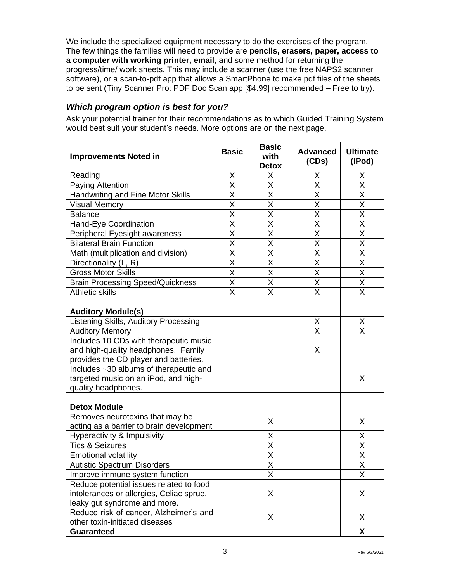We include the specialized equipment necessary to do the exercises of the program. The few things the families will need to provide are **pencils, erasers, paper, access to a computer with working printer, email**, and some method for returning the progress/time/ work sheets. This may include a scanner (use the free NAPS2 scanner software), or a scan-to-pdf app that allows a SmartPhone to make pdf files of the sheets to be sent (Tiny Scanner Pro: PDF Doc Scan app [\$4.99] recommended – Free to try).

#### *Which program option is best for you?*

Ask your potential trainer for their recommendations as to which Guided Training System would best suit your student's needs. More options are on the next page.

| <b>Improvements Noted in</b>                                                  | <b>Basic</b>            | <b>Basic</b><br>with<br><b>Detox</b> | <b>Advanced</b><br>(CDs) | <b>Ultimate</b><br>(iPod) |
|-------------------------------------------------------------------------------|-------------------------|--------------------------------------|--------------------------|---------------------------|
| Reading                                                                       | X                       | X                                    | X                        | X                         |
| Paying Attention                                                              | X                       | X                                    | Χ                        | Χ                         |
| Handwriting and Fine Motor Skills                                             | $\overline{\mathsf{x}}$ | $\overline{\mathsf{X}}$              | $\overline{\mathsf{x}}$  | $\overline{\mathsf{x}}$   |
| <b>Visual Memory</b>                                                          | X                       | Χ                                    | X                        | X                         |
| <b>Balance</b>                                                                | X                       | X                                    | X                        | $\overline{\mathsf{X}}$   |
| Hand-Eye Coordination                                                         | $\overline{\mathsf{x}}$ | $\overline{\mathsf{x}}$              | $\overline{\mathsf{x}}$  | $\overline{\mathsf{X}}$   |
| Peripheral Eyesight awareness                                                 | $\overline{\mathsf{x}}$ | $\overline{\mathsf{X}}$              | $\overline{\mathsf{x}}$  | $\overline{\mathsf{x}}$   |
| <b>Bilateral Brain Function</b>                                               | X                       | X                                    | X                        | $\overline{\mathsf{x}}$   |
| Math (multiplication and division)                                            | $\overline{\mathsf{x}}$ | $\overline{\mathsf{x}}$              | $\overline{\mathsf{x}}$  | $\overline{\mathsf{x}}$   |
| Directionality (L, R)                                                         | X                       | X                                    | X                        | $\overline{\mathsf{x}}$   |
| <b>Gross Motor Skills</b>                                                     | $\overline{\mathsf{x}}$ | $\overline{\mathsf{x}}$              | $\overline{\mathsf{x}}$  | $\overline{\mathsf{x}}$   |
| <b>Brain Processing Speed/Quickness</b>                                       | X                       | X                                    | $\overline{\mathsf{x}}$  | $\overline{\mathsf{x}}$   |
| <b>Athletic skills</b>                                                        | X                       | X                                    | X                        | X                         |
|                                                                               |                         |                                      |                          |                           |
| <b>Auditory Module(s)</b>                                                     |                         |                                      |                          |                           |
| Listening Skills, Auditory Processing                                         |                         |                                      | X                        | X                         |
| <b>Auditory Memory</b>                                                        |                         |                                      | $\overline{\mathsf{x}}$  | $\overline{\mathsf{x}}$   |
| Includes 10 CDs with therapeutic music<br>and high-quality headphones. Family |                         |                                      | X                        |                           |
| provides the CD player and batteries.                                         |                         |                                      |                          |                           |
| Includes ~30 albums of therapeutic and                                        |                         |                                      |                          |                           |
| targeted music on an iPod, and high-                                          |                         |                                      |                          | X                         |
| quality headphones.                                                           |                         |                                      |                          |                           |
|                                                                               |                         |                                      |                          |                           |
| <b>Detox Module</b>                                                           |                         |                                      |                          |                           |
| Removes neurotoxins that may be                                               |                         | X                                    |                          | X                         |
| acting as a barrier to brain development                                      |                         |                                      |                          |                           |
| Hyperactivity & Impulsivity                                                   |                         | Χ                                    |                          | X                         |
| <b>Tics &amp; Seizures</b>                                                    |                         | X                                    |                          | X                         |
| <b>Emotional volatility</b>                                                   |                         | X                                    |                          | X                         |
| <b>Autistic Spectrum Disorders</b>                                            |                         | $\overline{\mathsf{x}}$              |                          | $\overline{\mathsf{x}}$   |
| Improve immune system function                                                |                         | X                                    |                          | X                         |
| Reduce potential issues related to food                                       |                         |                                      |                          |                           |
| intolerances or allergies, Celiac sprue,                                      |                         | X                                    |                          | X                         |
| leaky gut syndrome and more.                                                  |                         |                                      |                          |                           |
| Reduce risk of cancer, Alzheimer's and                                        |                         | X                                    |                          | X                         |
| other toxin-initiated diseases                                                |                         |                                      |                          |                           |
| <b>Guaranteed</b>                                                             |                         |                                      |                          | X                         |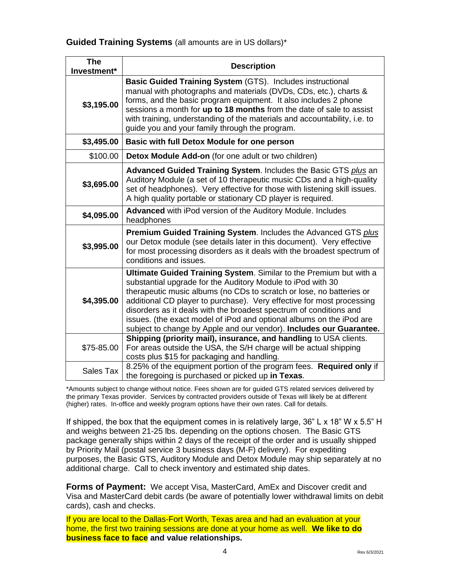#### **Guided Training Systems** (all amounts are in US dollars)\*

| <b>The</b><br>Investment* | <b>Description</b>                                                                                                                                                                                                                                                                                                                                                                                                                                                                                      |
|---------------------------|---------------------------------------------------------------------------------------------------------------------------------------------------------------------------------------------------------------------------------------------------------------------------------------------------------------------------------------------------------------------------------------------------------------------------------------------------------------------------------------------------------|
| \$3,195.00                | <b>Basic Guided Training System (GTS). Includes instructional</b><br>manual with photographs and materials (DVDs, CDs, etc.), charts &<br>forms, and the basic program equipment. It also includes 2 phone<br>sessions a month for up to 18 months from the date of sale to assist<br>with training, understanding of the materials and accountability, i.e. to<br>guide you and your family through the program.                                                                                       |
| \$3,495.00                | Basic with full Detox Module for one person                                                                                                                                                                                                                                                                                                                                                                                                                                                             |
| \$100.00                  | Detox Module Add-on (for one adult or two children)                                                                                                                                                                                                                                                                                                                                                                                                                                                     |
| \$3,695.00                | Advanced Guided Training System. Includes the Basic GTS plus an<br>Auditory Module (a set of 10 therapeutic music CDs and a high-quality<br>set of headphones). Very effective for those with listening skill issues.<br>A high quality portable or stationary CD player is required.                                                                                                                                                                                                                   |
| \$4,095.00                | Advanced with iPod version of the Auditory Module. Includes<br>headphones                                                                                                                                                                                                                                                                                                                                                                                                                               |
| \$3,995.00                | Premium Guided Training System. Includes the Advanced GTS plus<br>our Detox module (see details later in this document). Very effective<br>for most processing disorders as it deals with the broadest spectrum of<br>conditions and issues.                                                                                                                                                                                                                                                            |
| \$4,395.00                | Ultimate Guided Training System. Similar to the Premium but with a<br>substantial upgrade for the Auditory Module to iPod with 30<br>therapeutic music albums (no CDs to scratch or lose, no batteries or<br>additional CD player to purchase). Very effective for most processing<br>disorders as it deals with the broadest spectrum of conditions and<br>issues. (the exact model of iPod and optional albums on the iPod are<br>subject to change by Apple and our vendor). Includes our Guarantee. |
| \$75-85.00                | Shipping (priority mail), insurance, and handling to USA clients.<br>For areas outside the USA, the S/H charge will be actual shipping<br>costs plus \$15 for packaging and handling.                                                                                                                                                                                                                                                                                                                   |
| Sales Tax                 | 8.25% of the equipment portion of the program fees. Required only if<br>the foregoing is purchased or picked up in Texas.                                                                                                                                                                                                                                                                                                                                                                               |

\*Amounts subject to change without notice. Fees shown are for guided GTS related services delivered by the primary Texas provider. Services by contracted providers outside of Texas will likely be at different (higher) rates. In-office and weekly program options have their own rates. Call for details.

If shipped, the box that the equipment comes in is relatively large,  $36" L \times 18" W \times 5.5" H$ and weighs between 21-25 lbs. depending on the options chosen. The Basic GTS package generally ships within 2 days of the receipt of the order and is usually shipped by Priority Mail (postal service 3 business days (M-F) delivery). For expediting purposes, the Basic GTS, Auditory Module and Detox Module may ship separately at no additional charge. Call to check inventory and estimated ship dates.

**Forms of Payment:** We accept Visa, MasterCard, AmEx and Discover credit and Visa and MasterCard debit cards (be aware of potentially lower withdrawal limits on debit cards), cash and checks.

If you are local to the Dallas-Fort Worth, Texas area and had an evaluation at your home, the first two training sessions are done at your home as well. **We like to do business face to face and value relationships.**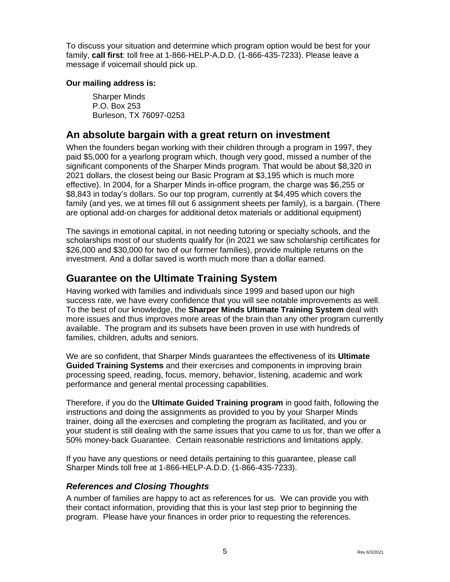To discuss your situation and determine which program option would be best for your family, **call first**: toll free at 1-866-HELP-A.D.D. (1-866-435-7233). Please leave a message if voicemail should pick up.

#### **Our mailing address is:**

Sharper Minds P.O. Box 253 Burleson, TX 76097-0253

## **An absolute bargain with a great return on investment**

When the founders began working with their children through a program in 1997, they paid \$5,000 for a yearlong program which, though very good, missed a number of the significant components of the Sharper Minds program. That would be about \$8,320 in 2021 dollars, the closest being our Basic Program at \$3,195 which is much more effective). In 2004, for a Sharper Minds in-office program, the charge was \$6,255 or \$8,843 in today's dollars. So our top program, currently at \$4,495 which covers the family (and yes, we at times fill out 6 assignment sheets per family), is a bargain. (There are optional add-on charges for additional detox materials or additional equipment)

The savings in emotional capital, in not needing tutoring or specialty schools, and the scholarships most of our students qualify for (in 2021 we saw scholarship certificates for \$26,000 and \$30,000 for two of our former families), provide multiple returns on the investment. And a dollar saved is worth much more than a dollar earned.

# **Guarantee on the Ultimate Training System**

Having worked with families and individuals since 1999 and based upon our high success rate, we have every confidence that you will see notable improvements as well. To the best of our knowledge, the **Sharper Minds Ultimate Training System** deal with more issues and thus improves more areas of the brain than any other program currently available. The program and its subsets have been proven in use with hundreds of families, children, adults and seniors.

We are so confident, that Sharper Minds guarantees the effectiveness of its **Ultimate Guided Training Systems** and their exercises and components in improving brain processing speed, reading, focus, memory, behavior, listening, academic and work performance and general mental processing capabilities.

Therefore, if you do the **Ultimate Guided Training program** in good faith, following the instructions and doing the assignments as provided to you by your Sharper Minds trainer, doing all the exercises and completing the program as facilitated, and you or your student is still dealing with the same issues that you came to us for, than we offer a 50% money-back Guarantee. Certain reasonable restrictions and limitations apply.

If you have any questions or need details pertaining to this guarantee, please call Sharper Minds toll free at 1-866-HELP-A.D.D. (1-866-435-7233).

#### *References and Closing Thoughts*

A number of families are happy to act as references for us. We can provide you with their contact information, providing that this is your last step prior to beginning the program. Please have your finances in order prior to requesting the references.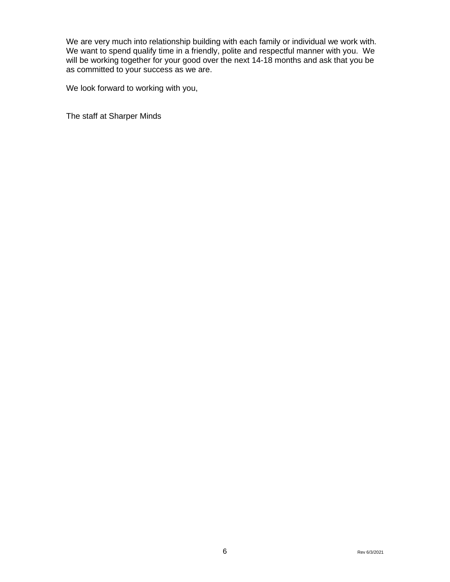We are very much into relationship building with each family or individual we work with. We want to spend qualify time in a friendly, polite and respectful manner with you. We will be working together for your good over the next 14-18 months and ask that you be as committed to your success as we are.

We look forward to working with you,

The staff at Sharper Minds